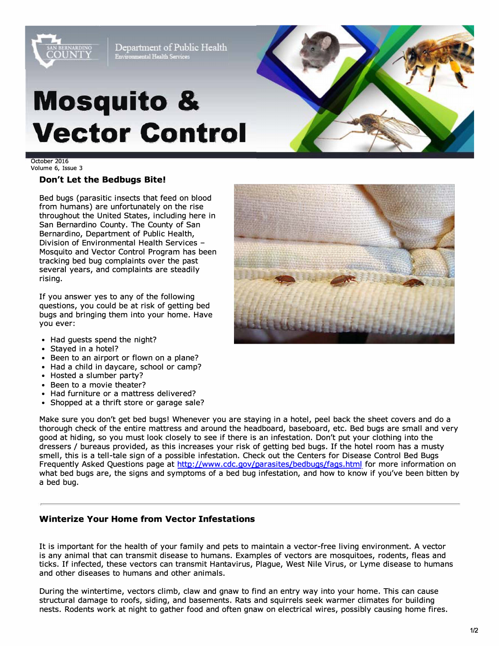

Department of Public Health Environmental Health Services

# **Mosquito & Vector Control**



October 2016 Volume 6, Issue 3

#### **Don't Let the Bedbugs Bite!**

Bed bugs (parasitic insects that feed on blood from humans) are unfortunately on the rise throughout the United States, including here in San Bernardino County. The County of San Bernardino, Department of Public Health, Division of Environmental Health Services - Mosquito and Vector Control Program has been tracking bed bug complaints over the past several years, and complaints are steadily rising.

If you answer yes to any of the following questions, you could be at risk of getting bed bugs and bringing them into your home. Have you ever:

- Had guests spend the night?
- Stayed in a hotel?
- Been to an airport or flown on a plane?
- Had a child in daycare, school or camp?
- Hosted a slumber party?
- Been to a movie theater?
- Had furniture or a mattress delivered?
- Shopped at a thrift store or garage sale?

Make sure you don't get bed bugs! Whenever you are staying in a hotel, peel back the sheet covers and do a thorough check of the entire mattress and around the headboard, baseboard, etc. Bed bugs are small and very good at hiding, so you must look closely to see if there is an infestation. Don't put your clothing into the dressers/ bureaus provided, as this increases your risk of getting bed bugs. If the hotel room has a musty smell, this is a tell-tale sign of a possible infestation. Check out the Centers for Disease Control Bed Bugs Frequently Asked Questions page at [http://www.cdc.gov/parasites/bedbugs/faqs.html](https://www.cdc.gov/parasites/bedbugs/faqs.html) for more information on what bed bugs are, the signs and symptoms of a bed bug infestation, and how to know if you've been bitten by a bed bug.

#### **Winterize Your Home from Vector Infestations**

It is important for the health of your family and pets to maintain a vector-free living environment. A vector is any animal that can transmit disease to humans. Examples of vectors are mosquitoes, rodents, fleas and ticks. If infected, these vectors can transmit Hantavirus, Plague, West Nile Virus, or Lyme disease to humans and other diseases to humans and other animals.

During the wintertime, vectors climb, claw and gnaw to find an entry way into your home. This can cause structural damage to roofs, siding, and basements. Rats and squirrels seek warmer climates for building nests. Rodents work at night to gather food and often gnaw on electrical wires, possibly causing home fires.